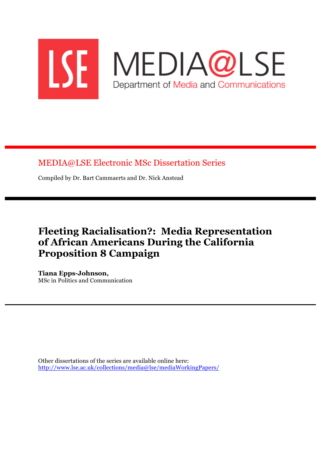

MEDIA@LSE Electronic MSc Dissertation Series

Compiled by Dr. Bart Cammaerts and Dr. Nick Anstead

# **Fleeting Racialisation?: Media Representation of African Americans During the California Proposition 8 Campaign**

**Tiana Epps-Johnson,** MSc in Politics and Communication

Other dissertations of the series are available online here: http://www.lse.ac.uk/collections/media@lse/mediaWorkingPapers/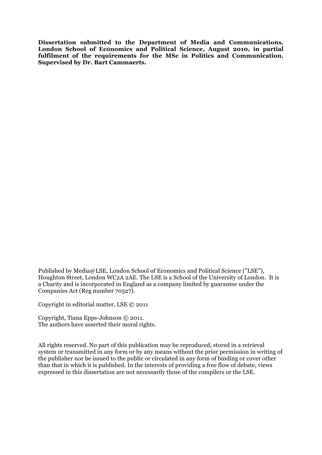**Dissertation submitted to the Department of Media and Communications, London School of Economics and Political Science, August 2010, in partial fulfilment of the requirements for the MSc in Politics and Communication. Supervised by Dr. Bart Cammaerts.**

Published by Media@LSE, London School of Economics and Political Science ("LSE"), Houghton Street, London WC2A 2AE. The LSE is a School of the University of London. It is a Charity and is incorporated in England as a company limited by guarantee under the Companies Act (Reg number 70527).

Copyright in editorial matter, LSE © 2011

Copyright, Tiana Epps-Johnson © 2011. The authors have asserted their moral rights.

All rights reserved. No part of this publication may be reproduced, stored in a retrieval system or transmitted in any form or by any means without the prior permission in writing of the publisher nor be issued to the public or circulated in any form of binding or cover other than that in which it is published. In the interests of providing a free flow of debate, views expressed in this dissertation are not necessarily those of the compilers or the LSE.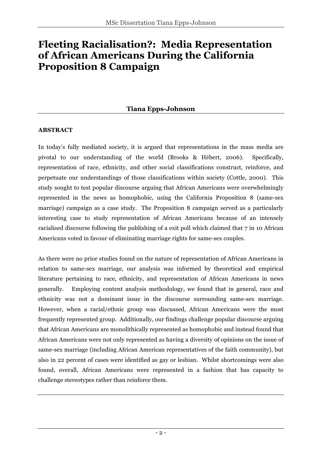# **Fleeting Racialisation?: Media Representation of African Americans During the California Proposition 8 Campaign**

### **Tiana Epps-Johnson**

#### **ABSTRACT**

In today's fully mediated society, it is argued that representations in the mass media are pivotal to our understanding of the world (Brooks & Hébert, 2006). Specifically, representation of race, ethnicity, and other social classifications construct, reinforce, and perpetuate our understandings of those classifications within society (Cottle, 2000). This study sought to test popular discourse arguing that African Americans were overwhelmingly represented in the news as homophobic, using the California Proposition 8 (same-sex marriage) campaign as a case study. The Proposition 8 campaign served as a particularly interesting case to study representation of African Americans because of an intensely racialised discourse following the publishing of a exit poll which claimed that 7 in 10 African Americans voted in favour of eliminating marriage rights for same-sex couples.

As there were no prior studies found on the nature of representation of African Americans in relation to same-sex marriage, our analysis was informed by theoretical and empirical literature pertaining to race, ethnicity, and representation of African Americans in news generally. Employing content analysis methodology, we found that in general, race and ethnicity was not a dominant issue in the discourse surrounding same-sex marriage. However, when a racial/ethnic group was discussed, African Americans were the most frequently represented group. Additionally, our findings challenge popular discourse arguing that African Americans are monolithically represented as homophobic and instead found that African Americans were not only represented as having a diversity of opinions on the issue of same-sex marriage (including African American representatives of the faith community), but also in 22 percent of cases were identified as gay or lesbian. Whilst shortcomings were also found, overall, African Americans were represented in a fashion that has capacity to challenge stereotypes rather than reinforce them.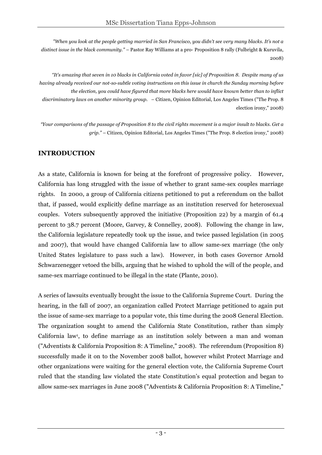*"When you look at the people getting married in San Francisco, you didn't see very many blacks. It's not a distinct issue in the black community."* – Pastor Ray Williams at a pro- Proposition 8 rally (Fulbright & Kuruvila, 2008)

*"It's amazing that seven in 10 blacks in California voted in favor [sic] of Proposition 8. Despite many of us having already received our not-so-subtle voting instructions on this issue in church the Sunday morning before the election, you could have figured that more blacks here would have known better than to inflict discriminatory laws on another minority group.* – Citizen, Opinion Editorial, Los Angeles Times ("The Prop. 8 election irony," 2008)

*"Your comparisons of the passage of Proposition 8 to the civil rights movement is a major insult to blacks. Get a grip."* – Citizen, Opinion Editorial, Los Angeles Times ("The Prop. 8 election irony," 2008)

# **INTRODUCTION**

As a state, California is known for being at the forefront of progressive policy. However, California has long struggled with the issue of whether to grant same-sex couples marriage rights. In 2000, a group of California citizens petitioned to put a referendum on the ballot that, if passed, would explicitly define marriage as an institution reserved for heterosexual couples. Voters subsequently approved the initiative (Proposition 22) by a margin of 61.4 percent to 38.7 percent (Moore, Garvey, & Connelley, 2008). Following the change in law, the California legislature repeatedly took up the issue, and twice passed legislation (in 2005 and 2007), that would have changed California law to allow same-sex marriage (the only United States legislature to pass such a law). However, in both cases Governor Arnold Schwarzenegger vetoed the bills, arguing that he wished to uphold the will of the people, and same-sex marriage continued to be illegal in the state (Plante, 2010).

A series of lawsuits eventually brought the issue to the California Supreme Court. During the hearing, in the fall of 2007, an organization called Protect Marriage petitioned to again put the issue of same-sex marriage to a popular vote, this time during the 2008 General Election. The organization sought to amend the California State Constitution, rather than simply California law<sup>1</sup>, to define marriage as an institution solely between a man and woman ("Adventists & California Proposition 8: A Timeline," 2008). The referendum (Proposition 8) successfully made it on to the November 2008 ballot, however whilst Protect Marriage and other organizations were waiting for the general election vote, the California Supreme Court ruled that the standing law violated the state Constitution's equal protection and began to allow same-sex marriages in June 2008 ("Adventists & California Proposition 8: A Timeline,"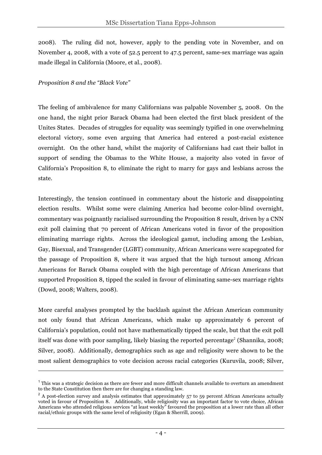2008). The ruling did not, however, apply to the pending vote in November, and on November 4, 2008, with a vote of 52.5 percent to 47.5 percent, same-sex marriage was again made illegal in California (Moore, et al., 2008).

#### *Proposition 8 and the "Black Vote"*

 $\overline{a}$ 

The feeling of ambivalence for many Californians was palpable November 5, 2008. On the one hand, the night prior Barack Obama had been elected the first black president of the Unites States. Decades of struggles for equality was seemingly typified in one overwhelming electoral victory, some even arguing that America had entered a post-racial existence overnight. On the other hand, whilst the majority of Californians had cast their ballot in support of sending the Obamas to the White House, a majority also voted in favor of California's Proposition 8, to eliminate the right to marry for gays and lesbians across the state.

Interestingly, the tension continued in commentary about the historic and disappointing election results. Whilst some were claiming America had become color-blind overnight, commentary was poignantly racialised surrounding the Proposition 8 result, driven by a CNN exit poll claiming that 70 percent of African Americans voted in favor of the proposition eliminating marriage rights. Across the ideological gamut, including among the Lesbian, Gay, Bisexual, and Transgender (LGBT) community, African Americans were scapegoated for the passage of Proposition 8, where it was argued that the high turnout among African Americans for Barack Obama coupled with the high percentage of African Americans that supported Proposition 8, tipped the scaled in favour of eliminating same-sex marriage rights (Dowd, 2008; Walters, 2008).

More careful analyses prompted by the backlash against the African American community not only found that African Americans, which make up approximately 6 percent of California's population, could not have mathematically tipped the scale, but that the exit poll itself was done with poor sampling, likely biasing the reported percentage<sup>2</sup> (Shannika, 2008; Silver, 2008). Additionally, demographics such as age and religiosity were shown to be the most salient demographics to vote decision across racial categories (Kuruvila, 2008; Silver,

 $1$ <sup>1</sup> This was a strategic decision as there are fewer and more difficult channels available to overturn an amendment to the State Constitution then there are for changing a standing law.

<sup>&</sup>lt;sup>2</sup> A post-election survey and analysis estimates that approximately 57 to 59 percent African Americans actually voted in favour of Proposition 8. Additionally, while religiosity was an important factor to vote choice, African Americans who attended religious services "at least weekly" favoured the proposition at a lower rate than all other racial/ethnic groups with the same level of religiosity (Egan & Sherrill, 2009).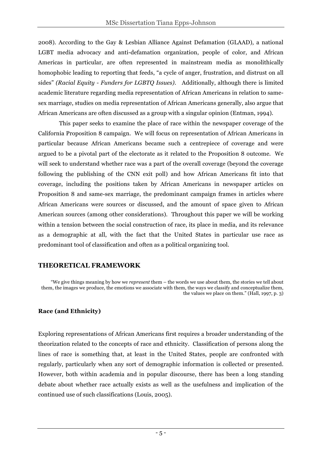2008). According to the Gay & Lesbian Alliance Against Defamation (GLAAD), a national LGBT media advocacy and anti-defamation organization, people of color, and African Americas in particular, are often represented in mainstream media as monolithically homophobic leading to reporting that feeds, "a cycle of anger, frustration, and distrust on all sides" *(Racial Equity - Funders for LGBTQ Issues)*. Additionally, although there is limited academic literature regarding media representation of African Americans in relation to samesex marriage, studies on media representation of African Americans generally, also argue that African Americans are often discussed as a group with a singular opinion (Entman, 1994).

This paper seeks to examine the place of race within the newspaper coverage of the California Proposition 8 campaign. We will focus on representation of African Americans in particular because African Americans became such a centrepiece of coverage and were argued to be a pivotal part of the electorate as it related to the Proposition 8 outcome. We will seek to understand whether race was a part of the overall coverage (beyond the coverage following the publishing of the CNN exit poll) and how African Americans fit into that coverage, including the positions taken by African Americans in newspaper articles on Proposition 8 and same-sex marriage, the predominant campaign frames in articles where African Americans were sources or discussed, and the amount of space given to African American sources (among other considerations). Throughout this paper we will be working within a tension between the social construction of race, its place in media, and its relevance as a demographic at all, with the fact that the United States in particular use race as predominant tool of classification and often as a political organizing tool.

# **THEORETICAL FRAMEWORK**

"We give things meaning by how we *represent* them – the words we use about them, the stories we tell about them, the images we produce, the emotions we associate with them, the ways we classify and conceptualize them, the values we place on them." (Hall, 1997, p. 3)

# **Race (and Ethnicity)**

Exploring representations of African Americans first requires a broader understanding of the theorization related to the concepts of race and ethnicity. Classification of persons along the lines of race is something that, at least in the United States, people are confronted with regularly, particularly when any sort of demographic information is collected or presented. However, both within academia and in popular discourse, there has been a long standing debate about whether race actually exists as well as the usefulness and implication of the continued use of such classifications (Louis, 2005).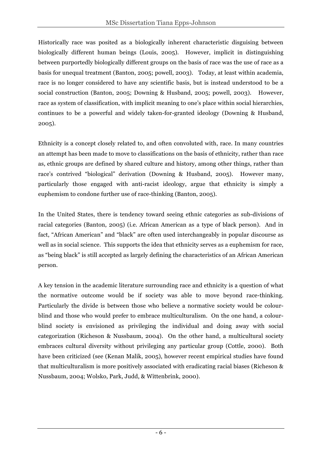Historically race was posited as a biologically inherent characteristic disguising between biologically different human beings (Louis, 2005). However, implicit in distinguishing between purportedly biologically different groups on the basis of race was the use of race as a basis for unequal treatment (Banton, 2005; powell, 2003). Today, at least within academia, race is no longer considered to have any scientific basis, but is instead understood to be a social construction (Banton, 2005; Downing & Husband, 2005; powell, 2003). However, race as system of classification, with implicit meaning to one's place within social hierarchies, continues to be a powerful and widely taken-for-granted ideology (Downing & Husband, 2005).

Ethnicity is a concept closely related to, and often convoluted with, race. In many countries an attempt has been made to move to classifications on the basis of ethnicity, rather than race as, ethnic groups are defined by shared culture and history, among other things, rather than race's contrived "biological" derivation (Downing & Husband, 2005). However many, particularly those engaged with anti-racist ideology, argue that ethnicity is simply a euphemism to condone further use of race-thinking (Banton, 2005).

In the United States, there is tendency toward seeing ethnic categories as sub-divisions of racial categories (Banton, 2005) (i.e. African American as a type of black person). And in fact, "African American" and "black" are often used interchangeably in popular discourse as well as in social science. This supports the idea that ethnicity serves as a euphemism for race, as "being black" is still accepted as largely defining the characteristics of an African American person.

A key tension in the academic literature surrounding race and ethnicity is a question of what the normative outcome would be if society was able to move beyond race-thinking. Particularly the divide is between those who believe a normative society would be colourblind and those who would prefer to embrace multiculturalism. On the one hand, a colourblind society is envisioned as privileging the individual and doing away with social categorization (Richeson & Nussbaum, 2004). On the other hand, a multicultural society embraces cultural diversity without privileging any particular group (Cottle, 2000). Both have been criticized (see (Kenan Malik, 2005), however recent empirical studies have found that multiculturalism is more positively associated with eradicating racial biases (Richeson & Nussbaum, 2004; Wolsko, Park, Judd, & Wittenbrink, 2000).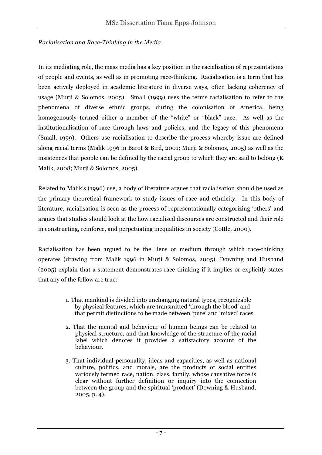#### *Racialisation and Race-Thinking in the Media*

In its mediating role, the mass media has a key position in the racialisation of representations of people and events, as well as in promoting race-thinking. Racialisation is a term that has been actively deployed in academic literature in diverse ways, often lacking coherency of usage (Murji & Solomos, 2005). Small (1999) uses the terms racialisation to refer to the phenomena of diverse ethnic groups, during the colonisation of America, being homogenously termed either a member of the "white" or "black" race. As well as the institutionalisation of race through laws and policies, and the legacy of this phenomena (Small, 1999). Others use racialisation to describe the process whereby issue are defined along racial terms (Malik 1996 in Barot & Bird, 2001; Murji & Solomos, 2005) as well as the insistences that people can be defined by the racial group to which they are said to belong (K Malik, 2008; Murji & Solomos, 2005).

Related to Malik's (1996) use, a body of literature argues that racialisation should be used as the primary theoretical framework to study issues of race and ethnicity. In this body of literature, racialisation is seen as the process of representationally categorizing 'others' and argues that studies should look at the how racialised discourses are constructed and their role in constructing, reinforce, and perpetuating inequalities in society (Cottle, 2000).

Racialisation has been argued to be the "lens or medium through which race-thinking operates (drawing from Malik 1996 in Murji & Solomos, 2005). Downing and Husband (2005) explain that a statement demonstrates race-thinking if it implies or explicitly states that any of the follow are true:

- 1. That mankind is divided into unchanging natural types, recognizable by physical features, which are transmitted 'through the blood' and that permit distinctions to be made between 'pure' and 'mixed' races.
- 2. That the mental and behaviour of human beings can be related to physical structure, and that knowledge of the structure of the racial label which denotes it provides a satisfactory account of the behaviour.
- 3. That individual personality, ideas and capacities, as well as national culture, politics, and morals, are the products of social entities variously termed race, nation, class, family, whose causative force is clear without further definition or inquiry into the connection between the group and the spiritual 'product' (Downing & Husband, 2005, p. 4).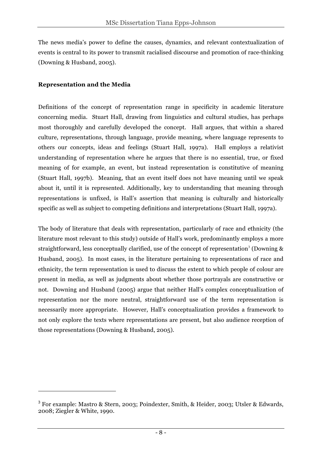The news media's power to define the causes, dynamics, and relevant contextualization of events is central to its power to transmit racialised discourse and promotion of race-thinking (Downing & Husband, 2005).

#### **Representation and the Media**

 $\overline{a}$ 

Definitions of the concept of representation range in specificity in academic literature concerning media. Stuart Hall, drawing from linguistics and cultural studies, has perhaps most thoroughly and carefully developed the concept. Hall argues, that within a shared culture, representations, through language, provide meaning, where language represents to others our concepts, ideas and feelings (Stuart Hall, 1997a). Hall employs a relativist understanding of representation where he argues that there is no essential, true, or fixed meaning of for example, an event, but instead representation is constitutive of meaning (Stuart Hall, 1997b). Meaning, that an event itself does not have meaning until we speak about it, until it is represented. Additionally, key to understanding that meaning through representations is unfixed, is Hall's assertion that meaning is culturally and historically specific as well as subject to competing definitions and interpretations (Stuart Hall, 1997a).

The body of literature that deals with representation, particularly of race and ethnicity (the literature most relevant to this study) outside of Hall's work, predominantly employs a more straightforward, less conceptually clarified, use of the concept of representation<sup>3</sup> (Downing  $\&$ Husband, 2005). In most cases, in the literature pertaining to representations of race and ethnicity, the term representation is used to discuss the extent to which people of colour are present in media, as well as judgments about whether those portrayals are constructive or not. Downing and Husband (2005) argue that neither Hall's complex conceptualization of representation nor the more neutral, straightforward use of the term representation is necessarily more appropriate. However, Hall's conceptualization provides a framework to not only explore the texts where representations are present, but also audience reception of those representations (Downing & Husband, 2005).

<sup>3</sup> For example: Mastro & Stern, 2003; Poindexter, Smith, & Heider, 2003; Utsler & Edwards, 2008; Ziegler & White, 1990.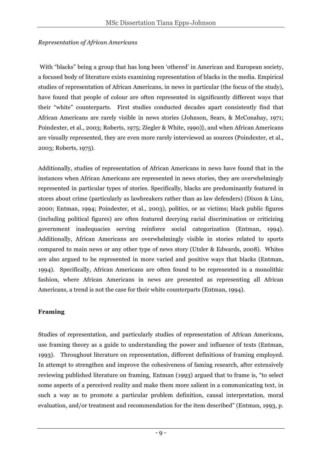#### *Representation of African Americans*

With "blacks" being a group that has long been 'othered' in American and European society, a focused body of literature exists examining representation of blacks in the media. Empirical studies of representation of African Americans, in news in particular (the focus of the study), have found that people of colour are often represented in significantly different ways that their "white" counterparts. First studies conducted decades apart consistently find that African Americans are rarely visible in news stories (Johnson, Sears, & McConahay, 1971; Poindexter, et al., 2003; Roberts, 1975; Ziegler & White, 1990)}, and when African Americans are visually represented, they are even more rarely interviewed as sources (Poindexter, et al., 2003; Roberts, 1975).

Additionally, studies of representation of African Americans in news have found that in the instances when African Americans are represented in news stories, they are overwhelmingly represented in particular types of stories. Specifically, blacks are predominantly featured in stores about crime (particularly as lawbreakers rather than as law defenders) (Dixon & Linz, 2000; Entman, 1994; Poindexter, et al., 2003), politics, or as victims; black public figures (including political figures) are often featured decrying racial discrimination or criticizing government inadequacies serving reinforce social categorization (Entman, 1994). Additionally, African Americans are overwhelmingly visible in stories related to sports compared to main news or any other type of news story (Utsler & Edwards, 2008). Whites are also argued to be represented in more varied and positive ways that blacks (Entman, 1994). Specifically, African Americans are often found to be represented in a monolithic fashion, where African Americans in news are presented as representing all African Americans, a trend is not the case for their white counterparts (Entman, 1994).

### **Framing**

Studies of representation, and particularly studies of representation of African Americans, use framing theory as a guide to understanding the power and influence of texts (Entman, 1993). Throughout literature on representation, different definitions of framing employed. In attempt to strengthen and improve the cohesiveness of faming research, after extensively reviewing published literature on framing, Entman (1993) argued that to frame is, "to select some aspects of a perceived reality and make them more salient in a communicating text, in such a way as to promote a particular problem definition, causal interpretation, moral evaluation, and/or treatment and recommendation for the item described" (Entman, 1993, p.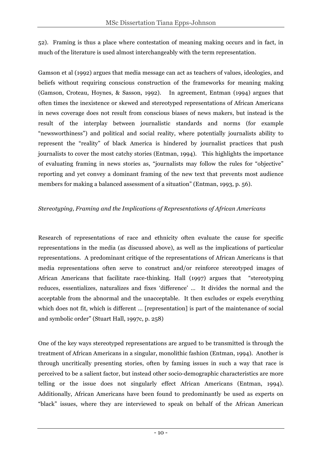52). Framing is thus a place where contestation of meaning making occurs and in fact, in much of the literature is used almost interchangeably with the term representation.

Gamson et al (1992) argues that media message can act as teachers of values, ideologies, and beliefs without requiring conscious construction of the frameworks for meaning making (Gamson, Croteau, Hoynes, & Sasson, 1992). In agreement, Entman (1994) argues that often times the inexistence or skewed and stereotyped representations of African Americans in news coverage does not result from conscious biases of news makers, but instead is the result of the interplay between journalistic standards and norms (for example "newsworthiness") and political and social reality, where potentially journalists ability to represent the "reality" of black America is hindered by journalist practices that push journalists to cover the most catchy stories (Entman, 1994). This highlights the importance of evaluating framing in news stories as, "journalists may follow the rules for "objective" reporting and yet convey a dominant framing of the new text that prevents most audience members for making a balanced assessment of a situation" (Entman, 1993, p. 56).

#### *Stereotyping, Framing and the Implications of Representations of African Americans*

Research of representations of race and ethnicity often evaluate the cause for specific representations in the media (as discussed above), as well as the implications of particular representations. A predominant critique of the representations of African Americans is that media representations often serve to construct and/or reinforce stereotyped images of African Americans that facilitate race-thinking. Hall (1997) argues that "stereotyping reduces, essentializes, naturalizes and fixes 'difference' … It divides the normal and the acceptable from the abnormal and the unacceptable. It then excludes or expels everything which does not fit, which is different ... [representation] is part of the maintenance of social and symbolic order" (Stuart Hall, 1997c, p. 258)

One of the key ways stereotyped representations are argued to be transmitted is through the treatment of African Americans in a singular, monolithic fashion (Entman, 1994). Another is through uncritically presenting stories, often by faming issues in such a way that race is perceived to be a salient factor, but instead other socio-demographic characteristics are more telling or the issue does not singularly effect African Americans (Entman, 1994). Additionally, African Americans have been found to predominantly be used as experts on "black" issues, where they are interviewed to speak on behalf of the African American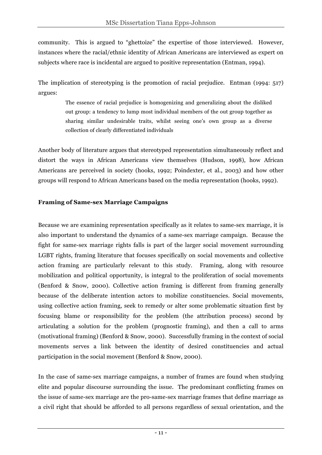community. This is argued to "ghettoize" the expertise of those interviewed. However, instances where the racial/ethnic identity of African Americans are interviewed as expert on subjects where race is incidental are argued to positive representation (Entman, 1994).

The implication of stereotyping is the promotion of racial prejudice. Entman (1994: 517) argues:

> The essence of racial prejudice is homogenizing and generalizing about the disliked out group: a tendency to lump most individual members of the out group together as sharing similar undesirable traits, whilst seeing one's own group as a diverse collection of clearly differentiated individuals

Another body of literature argues that stereotyped representation simultaneously reflect and distort the ways in African Americans view themselves (Hudson, 1998), how African Americans are perceived in society (hooks, 1992; Poindexter, et al., 2003) and how other groups will respond to African Americans based on the media representation (hooks, 1992).

#### **Framing of Same-sex Marriage Campaigns**

Because we are examining representation specifically as it relates to same-sex marriage, it is also important to understand the dynamics of a same-sex marriage campaign. Because the fight for same-sex marriage rights falls is part of the larger social movement surrounding LGBT rights, framing literature that focuses specifically on social movements and collective action framing are particularly relevant to this study. Framing, along with resource mobilization and political opportunity, is integral to the proliferation of social movements (Benford & Snow, 2000). Collective action framing is different from framing generally because of the deliberate intention actors to mobilize constituencies. Social movements, using collective action framing, seek to remedy or alter some problematic situation first by focusing blame or responsibility for the problem (the attribution process) second by articulating a solution for the problem (prognostic framing), and then a call to arms (motivational framing) (Benford & Snow, 2000). Successfully framing in the context of social movements serves a link between the identity of desired constituencies and actual participation in the social movement (Benford & Snow, 2000).

In the case of same-sex marriage campaigns, a number of frames are found when studying elite and popular discourse surrounding the issue. The predominant conflicting frames on the issue of same-sex marriage are the pro-same-sex marriage frames that define marriage as a civil right that should be afforded to all persons regardless of sexual orientation, and the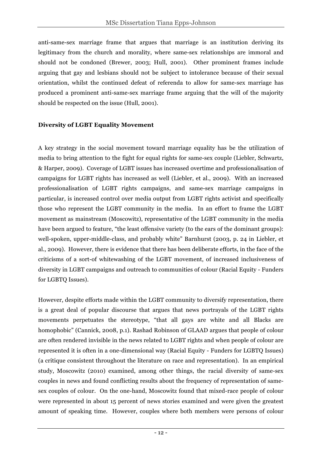anti-same-sex marriage frame that argues that marriage is an institution deriving its legitimacy from the church and morality, where same-sex relationships are immoral and should not be condoned (Brewer, 2003; Hull, 2001). Other prominent frames include arguing that gay and lesbians should not be subject to intolerance because of their sexual orientation, whilst the continued defeat of referenda to allow for same-sex marriage has produced a prominent anti-same-sex marriage frame arguing that the will of the majority should be respected on the issue (Hull, 2001).

#### **Diversity of LGBT Equality Movement**

A key strategy in the social movement toward marriage equality has be the utilization of media to bring attention to the fight for equal rights for same-sex couple (Liebler, Schwartz, & Harper, 2009). Coverage of LGBT issues has increased overtime and professionalisation of campaigns for LGBT rights has increased as well (Liebler, et al., 2009). With an increased professionalisation of LGBT rights campaigns, and same-sex marriage campaigns in particular, is increased control over media output from LGBT rights activist and specifically those who represent the LGBT community in the media. In an effort to frame the LGBT movement as mainstream (Moscowitz), representative of the LGBT community in the media have been argued to feature, "the least offensive variety (to the ears of the dominant groups): well-spoken, upper-middle-class, and probably white" Barnhurst (2003, p. 24 in Liebler, et al., 2009). However, there is evidence that there has been deliberate efforts, in the face of the criticisms of a sort-of whitewashing of the LGBT movement, of increased inclusiveness of diversity in LGBT campaigns and outreach to communities of colour (Racial Equity - Funders for LGBTQ Issues).

However, despite efforts made within the LGBT community to diversify representation, there is a great deal of popular discourse that argues that news portrayals of the LGBT rights movements perpetuates the stereotype, "that all gays are white and all Blacks are homophobic" (Cannick, 2008, p.1). Rashad Robinson of GLAAD argues that people of colour are often rendered invisible in the news related to LGBT rights and when people of colour are represented it is often in a one-dimensional way (Racial Equity - Funders for LGBTQ Issues) (a critique consistent throughout the literature on race and representation). In an empirical study, Moscowitz (2010) examined, among other things, the racial diversity of same-sex couples in news and found conflicting results about the frequency of representation of samesex couples of colour. On the one-hand, Moscowitz found that mixed-race people of colour were represented in about 15 percent of news stories examined and were given the greatest amount of speaking time. However, couples where both members were persons of colour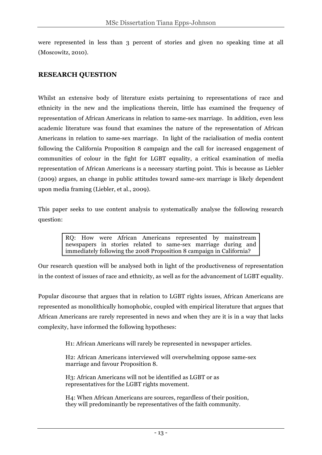were represented in less than 3 percent of stories and given no speaking time at all (Moscowitz, 2010).

## **RESEARCH QUESTION**

Whilst an extensive body of literature exists pertaining to representations of race and ethnicity in the new and the implications therein, little has examined the frequency of representation of African Americans in relation to same-sex marriage. In addition, even less academic literature was found that examines the nature of the representation of African Americans in relation to same-sex marriage. In light of the racialisation of media content following the California Proposition 8 campaign and the call for increased engagement of communities of colour in the fight for LGBT equality, a critical examination of media representation of African Americans is a necessary starting point. This is because as Liebler (2009) argues, an change in public attitudes toward same-sex marriage is likely dependent upon media framing (Liebler, et al., 2009).

This paper seeks to use content analysis to systematically analyse the following research question:

> RQ: How were African Americans represented by mainstream newspapers in stories related to same-sex marriage during and immediately following the 2008 Proposition 8 campaign in California?

Our research question will be analysed both in light of the productiveness of representation in the context of issues of race and ethnicity, as well as for the advancement of LGBT equality.

Popular discourse that argues that in relation to LGBT rights issues, African Americans are represented as monolithically homophobic, coupled with empirical literature that argues that African Americans are rarely represented in news and when they are it is in a way that lacks complexity, have informed the following hypotheses:

H1: African Americans will rarely be represented in newspaper articles.

H2: African Americans interviewed will overwhelming oppose same-sex marriage and favour Proposition 8.

H3: African Americans will not be identified as LGBT or as representatives for the LGBT rights movement.

H4: When African Americans are sources, regardless of their position, they will predominantly be representatives of the faith community.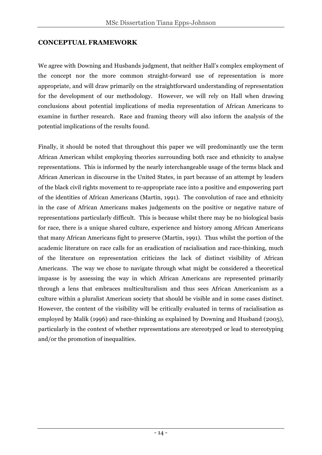#### **CONCEPTUAL FRAMEWORK**

We agree with Downing and Husbands judgment, that neither Hall's complex employment of the concept nor the more common straight-forward use of representation is more appropriate, and will draw primarily on the straightforward understanding of representation for the development of our methodology. However, we will rely on Hall when drawing conclusions about potential implications of media representation of African Americans to examine in further research. Race and framing theory will also inform the analysis of the potential implications of the results found.

Finally, it should be noted that throughout this paper we will predominantly use the term African American whilst employing theories surrounding both race and ethnicity to analyse representations. This is informed by the nearly interchangeable usage of the terms black and African American in discourse in the United States, in part because of an attempt by leaders of the black civil rights movement to re-appropriate race into a positive and empowering part of the identities of African Americans (Martin, 1991). The convolution of race and ethnicity in the case of African Americans makes judgements on the positive or negative nature of representations particularly difficult. This is because whilst there may be no biological basis for race, there is a unique shared culture, experience and history among African Americans that many African Americans fight to preserve (Martin, 1991). Thus whilst the portion of the academic literature on race calls for an eradication of racialisation and race-thinking, much of the literature on representation criticizes the lack of distinct visibility of African Americans. The way we chose to navigate through what might be considered a theoretical impasse is by assessing the way in which African Americans are represented primarily through a lens that embraces multiculturalism and thus sees African Americanism as a culture within a pluralist American society that should be visible and in some cases distinct. However, the content of the visibility will be critically evaluated in terms of racialisation as employed by Malik (1996) and race-thinking as explained by Downing and Husband (2005), particularly in the context of whether representations are stereotyped or lead to stereotyping and/or the promotion of inequalities.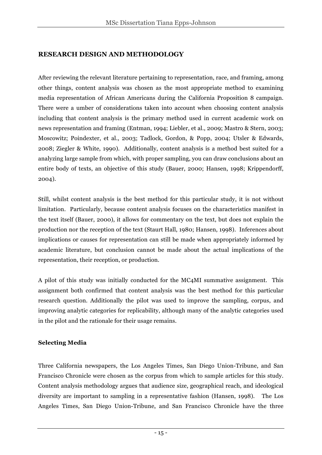# **RESEARCH DESIGN AND METHODOLOGY**

After reviewing the relevant literature pertaining to representation, race, and framing, among other things, content analysis was chosen as the most appropriate method to examining media representation of African Americans during the California Proposition 8 campaign. There were a umber of considerations taken into account when choosing content analysis including that content analysis is the primary method used in current academic work on news representation and framing (Entman, 1994; Liebler, et al., 2009; Mastro & Stern, 2003; Moscowitz; Poindexter, et al., 2003; Tadlock, Gordon, & Popp, 2004; Utsler & Edwards, 2008; Ziegler & White, 1990). Additionally, content analysis is a method best suited for a analyzing large sample from which, with proper sampling, you can draw conclusions about an entire body of texts, an objective of this study (Bauer, 2000; Hansen, 1998; Krippendorff, 2004).

Still, whilst content analysis is the best method for this particular study, it is not without limitation. Particularly, because content analysis focuses on the characteristics manifest in the text itself (Bauer, 2000), it allows for commentary on the text, but does not explain the production nor the reception of the text (Staurt Hall, 1980; Hansen, 1998). Inferences about implications or causes for representation can still be made when appropriately informed by academic literature, but conclusion cannot be made about the actual implications of the representation, their reception, or production.

A pilot of this study was initially conducted for the MC4MI summative assignment. This assignment both confirmed that content analysis was the best method for this particular research question. Additionally the pilot was used to improve the sampling, corpus, and improving analytic categories for replicability, although many of the analytic categories used in the pilot and the rationale for their usage remains.

### **Selecting Media**

Three California newspapers, the Los Angeles Times, San Diego Union-Tribune, and San Francisco Chronicle were chosen as the corpus from which to sample articles for this study. Content analysis methodology argues that audience size, geographical reach, and ideological diversity are important to sampling in a representative fashion (Hansen, 1998). The Los Angeles Times, San Diego Union-Tribune, and San Francisco Chronicle have the three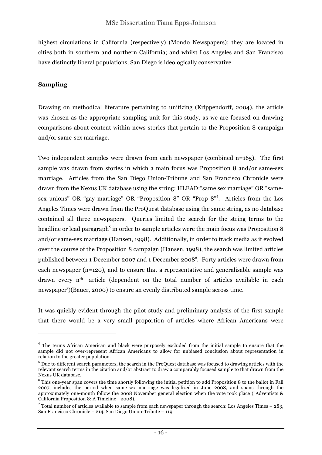highest circulations in California (respectively) (Mondo Newspapers); they are located in cities both in southern and northern California; and whilst Los Angeles and San Francisco have distinctly liberal populations, San Diego is ideologically conservative.

#### **Sampling**

 $\overline{a}$ 

Drawing on methodical literature pertaining to unitizing (Krippendorff, 2004), the article was chosen as the appropriate sampling unit for this study, as we are focused on drawing comparisons about content within news stories that pertain to the Proposition 8 campaign and/or same-sex marriage.

Two independent samples were drawn from each newspaper (combined n=165). The first sample was drawn from stories in which a main focus was Proposition 8 and/or same-sex marriage. Articles from the San Diego Union-Tribune and San Francisco Chronicle were drawn from the Nexus UK database using the string: HLEAD:"same sex marriage" OR "samesex unions" OR "gay marriage" OR "Proposition 8" OR "Prop 8"<sup>4</sup>. Articles from the Los Angeles Times were drawn from the ProQuest database using the same string, as no database contained all three newspapers. Queries limited the search for the string terms to the headline or lead paragraph<sup>5</sup> in order to sample articles were the main focus was Proposition 8 and/or same-sex marriage (Hansen, 1998). Additionally, in order to track media as it evolved over the course of the Proposition 8 campaign (Hansen, 1998), the search was limited articles published between 1 December 2007 and 1 December 2008<sup>6</sup>. Forty articles were drawn from each newspaper (n=120), and to ensure that a representative and generalisable sample was drawn every n<sup>th</sup> article (dependent on the total number of articles available in each newspaper<sup>7</sup>)(Bauer, 2000) to ensure an evenly distributed sample across time.

It was quickly evident through the pilot study and preliminary analysis of the first sample that there would be a very small proportion of articles where African Americans were

<sup>&</sup>lt;sup>4</sup> The terms African American and black were purposely excluded from the initial sample to ensure that the sample did not over-represent African Americans to allow for unbiased conclusion about representation in relation to the greater population.

<sup>5</sup> Due to different search parameters, the search in the ProQuest database was focused to drawing articles with the relevant search terms in the citation and/or abstract to draw a comparably focused sample to that drawn from the Nexus UK database.

 $6$  This one-vear span covers the time shortly following the initial petition to add Proposition 8 to the ballot in Fall 2007, includes the period when same-sex marriage was legalized in June 2008, and spans through the approximately one-month follow the 2008 November general election when the vote took place ("Adventists & California Proposition 8: A Timeline," 2008).

 $^7$  Total number of articles available to sample from each newspaper through the search: Los Angeles Times – 283, San Francisco Chronicle – 214, San Diego Union-Tribute – 119.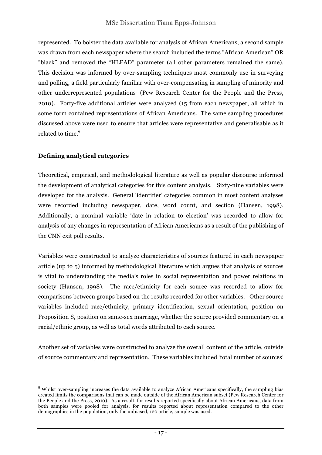represented. To bolster the data available for analysis of African Americans, a second sample was drawn from each newspaper where the search included the terms "African American" OR "black" and removed the "HLEAD" parameter (all other parameters remained the same). This decision was informed by over-sampling techniques most commonly use in surveying and polling, a field particularly familiar with over-compensating in sampling of minority and other underrepresented populations<sup>8</sup> (Pew Research Center for the People and the Press, 2010). Forty-five additional articles were analyzed (15 from each newspaper, all which in some form contained representations of African Americans. The same sampling procedures discussed above were used to ensure that articles were representative and generalisable as it related to time.<sup>9</sup>

### **Defining analytical categories**

 $\overline{a}$ 

Theoretical, empirical, and methodological literature as well as popular discourse informed the development of analytical categories for this content analysis. Sixty-nine variables were developed for the analysis. General 'identifier' categories common in most content analyses were recorded including newspaper, date, word count, and section (Hansen, 1998). Additionally, a nominal variable 'date in relation to election' was recorded to allow for analysis of any changes in representation of African Americans as a result of the publishing of the CNN exit poll results.

Variables were constructed to analyze characteristics of sources featured in each newspaper article (up to 5) informed by methodological literature which argues that analysis of sources is vital to understanding the media's roles in social representation and power relations in society (Hansen, 1998). The race/ethnicity for each source was recorded to allow for comparisons between groups based on the results recorded for other variables. Other source variables included race/ethnicity, primary identification, sexual orientation, position on Proposition 8, position on same-sex marriage, whether the source provided commentary on a racial/ethnic group, as well as total words attributed to each source.

Another set of variables were constructed to analyze the overall content of the article, outside of source commentary and representation. These variables included 'total number of sources'

<sup>&</sup>lt;sup>8</sup> Whilst over-sampling increases the data available to analyze African Americans specifically, the sampling bias created limits the comparisons that can be made outside of the African American subset (Pew Research Center for the People and the Press, 2010). As a result, for results reported specifically about African Americans, data from both samples were pooled for analysis, for results reported about representation compared to the other demographics in the population, only the unbiased, 120 article, sample was used.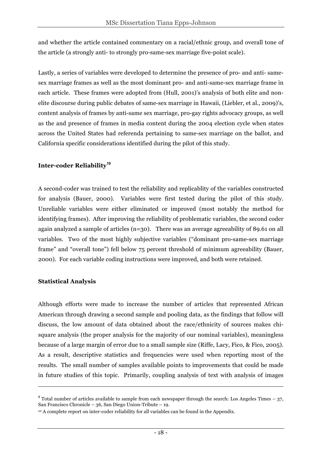and whether the article contained commentary on a racial/ethnic group, and overall tone of the article (a strongly anti- to strongly pro-same-sex marriage five-point scale).

Lastly, a series of variables were developed to determine the presence of pro- and anti- samesex marriage frames as well as the most dominant pro- and anti-same-sex marriage frame in each article. These frames were adopted from (Hull, 2001)'s analysis of both elite and nonelite discourse during public debates of same-sex marriage in Hawaii, (Liebler, et al., 2009)'s, content analysis of frames by anti-same sex marriage, pro-gay rights advocacy groups, as well as the and presence of frames in media content during the 2004 election cycle when states across the United States had referenda pertaining to same-sex marriage on the ballot, and California specific considerations identified during the pilot of this study.

#### **Inter-coder Reliability<sup>10</sup>**

A second-coder was trained to test the reliability and replicablity of the variables constructed for analysis (Bauer, 2000). Variables were first tested during the pilot of this study. Unreliable variables were either eliminated or improved (most notably the method for identifying frames). After improving the reliability of problematic variables, the second coder again analyzed a sample of articles  $(n=30)$ . There was an average agreeability of 89.61 on all variables. Two of the most highly subjective variables ("dominant pro-same-sex marriage frame" and "overall tone") fell below 75 percent threshold of minimum agreeability (Bauer, 2000). For each variable coding instructions were improved, and both were retained.

#### **Statistical Analysis**

 $\overline{a}$ 

Although efforts were made to increase the number of articles that represented African American through drawing a second sample and pooling data, as the findings that follow will discuss, the low amount of data obtained about the race/ethnicity of sources makes chisquare analysis (the proper analysis for the majority of our nominal variables), meaningless because of a large margin of error due to a small sample size (Riffe, Lacy, Fico, & Fico, 2005). As a result, descriptive statistics and frequencies were used when reporting most of the results. The small number of samples available points to improvements that could be made in future studies of this topic. Primarily, coupling analysis of text with analysis of images

 $9$  Total number of articles available to sample from each newspaper through the search: Los Angeles Times – 37, San Francisco Chronicle – 36, San Diego Union-Tribute – 19.

<sup>10</sup> A complete report on inter-coder reliability for all variables can be found in the Appendix.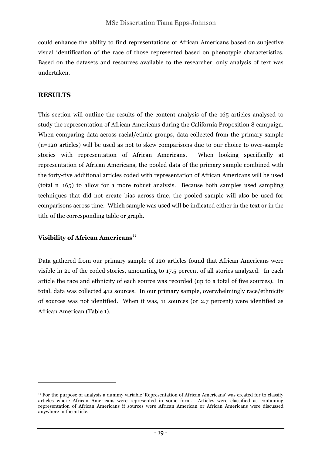could enhance the ability to find representations of African Americans based on subjective visual identification of the race of those represented based on phenotypic characteristics. Based on the datasets and resources available to the researcher, only analysis of text was undertaken.

### **RESULTS**

 $\overline{a}$ 

This section will outline the results of the content analysis of the 165 articles analysed to study the representation of African Americans during the California Proposition 8 campaign. When comparing data across racial/ethnic groups, data collected from the primary sample (n=120 articles) will be used as not to skew comparisons due to our choice to over-sample stories with representation of African Americans. When looking specifically at representation of African Americans, the pooled data of the primary sample combined with the forty-five additional articles coded with representation of African Americans will be used (total n=165) to allow for a more robust analysis. Because both samples used sampling techniques that did not create bias across time, the pooled sample will also be used for comparisons across time. Which sample was used will be indicated either in the text or in the title of the corresponding table or graph.

### **Visibility of African Americans***<sup>11</sup>*

Data gathered from our primary sample of 120 articles found that African Americans were visible in 21 of the coded stories, amounting to 17.5 percent of all stories analyzed. In each article the race and ethnicity of each source was recorded (up to a total of five sources). In total, data was collected 412 sources. In our primary sample, overwhelmingly race/ethnicity of sources was not identified. When it was, 11 sources (or 2.7 percent) were identified as African American (Table 1).

<sup>11</sup> For the purpose of analysis a dummy variable 'Representation of African Americans' was created for to classify articles where African Americans were represented in some form. Articles were classified as containing representation of African Americans if sources were African American or African Americans were discussed anywhere in the article.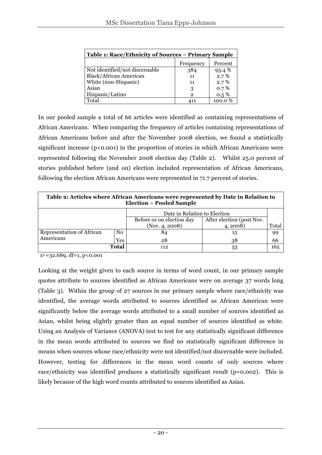| Table 1: Race/Ethnicity of Sources - Primary Sample |              |         |  |
|-----------------------------------------------------|--------------|---------|--|
|                                                     | Frequency    | Percent |  |
| Not identified/not discernable                      | 384          | 93.4 %  |  |
| Black/African American                              | 11           | 2.7%    |  |
| White (non-Hispanic)                                | 11           | 2.7%    |  |
| Asian                                               | 3            | $0.7\%$ |  |
| Hispanic/Latino                                     | $\mathbf{2}$ | $0.5\%$ |  |
| Total                                               | 411          | 100.0%  |  |

In our pooled sample a total of 66 articles were identified as containing representations of African Americans. When comparing the frequency of articles containing representations of African Americans before and after the November 2008 election, we found a statistically significant increase  $(p<0.001)$  in the proportion of stories in which African Americans were represented following the November 2008 election day (Table 2). Whilst 25.0 percent of stories published before (and on) election included representation of African Americans, following the election African Americans were represented in 71.7 percent of stories.

| Table 2: Articles where African Americans were represented by Date in Relation to<br><b>Election - Pooled Sample</b> |                |                           |                           |       |
|----------------------------------------------------------------------------------------------------------------------|----------------|---------------------------|---------------------------|-------|
| Date in Relation to Election                                                                                         |                |                           |                           |       |
|                                                                                                                      |                | Before or on election day | After election (post Nov. |       |
|                                                                                                                      |                | (Nov. 4, 2008)            | 4, 2008                   | Total |
| Representation of African                                                                                            | N <sub>0</sub> | 84                        | 15                        | 99    |
| Americans                                                                                                            | <b>Yes</b>     | 28                        | 38                        | 66    |
|                                                                                                                      | <b>Total</b>   | 112                       | 53                        | 165   |

 $x^2 = 32.689$ , df=1, p<0.001

Looking at the weight given to each source in terms of word count, in our primary sample quotes attribute to sources identified as African Americans were on average 37 words long (Table 3). Within the group of 27 sources in our primary sample where race/ethnicity was identified, the average words attributed to sources identified as African American were significantly below the average words attributed to a small number of sources identified as Asian, whilst being slightly greater than an equal number of sources identified as white. Using an Analysis of Variance (ANOVA) test to test for any statistically significant difference in the mean words attributed to sources we find no statistically significant difference in means when sources whose race/ethnicity were not identified/not discernable were included. However, testing for differences in the mean word counts of only sources where race/ethnicity was identified produces a statistically significant result ( $p=0.002$ ). This is likely because of the high word counts attributed to sources identified as Asian.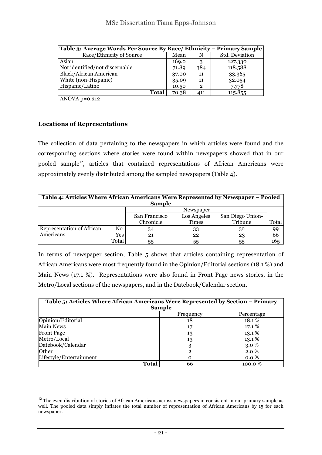| Table 3: Average Words Per Source By Race/ Ethnicity – Primary Sample |       |                |                |
|-----------------------------------------------------------------------|-------|----------------|----------------|
| Race/Ethnicity of Source                                              | Mean  | N              | Std. Deviation |
| Asian                                                                 | 169.0 | $\mathcal{S}$  | 127.330        |
| Not identified/not discernable                                        | 71.89 | 384            | 118.588        |
| <b>Black/African American</b>                                         | 37.00 | 11             | 33.365         |
| White (non-Hispanic)                                                  | 35.09 | 11             | 32.054         |
| Hispanic/Latino                                                       | 10.50 | $\overline{2}$ | 7.778          |
| <b>Total</b>                                                          | 70.38 | 411            | 115.855        |

ANOVA  $p=0.312$ 

#### **Locations of Representations**

 $\overline{a}$ 

The collection of data pertaining to the newspapers in which articles were found and the corresponding sections where stories were found within newspapers showed that in our pooled sample<sup>12</sup>, articles that contained representations of African Americans were approximately evenly distributed among the sampled newspapers (Table 4).

| Table 4: Articles Where African Americans Were Represented by Newspaper – Pooled<br><b>Sample</b> |       |               |             |                  |       |
|---------------------------------------------------------------------------------------------------|-------|---------------|-------------|------------------|-------|
|                                                                                                   |       |               | Newspaper   |                  |       |
|                                                                                                   |       | San Francisco | Los Angeles | San Diego Union- |       |
|                                                                                                   |       | Chronicle     | Times       | Tribune          | Total |
| Representation of African                                                                         | No    | 34            | 33          | 32               | 99    |
| Americans                                                                                         | Yes   | 21            | 22          | 23               | 66    |
|                                                                                                   | Total | 55            | 55          | 55               | 165   |

In terms of newspaper section, Table 5 shows that articles containing representation of African Americans were most frequently found in the Opinion/Editorial sections (18.1 %) and Main News (17.1 %). Representations were also found in Front Page news stories, in the Metro/Local sections of the newspapers, and in the Datebook/Calendar section.

| Table 5: Articles Where African Americans Were Represented by Section – Primary<br><b>Sample</b> |              |         |  |  |
|--------------------------------------------------------------------------------------------------|--------------|---------|--|--|
| Frequency<br>Percentage                                                                          |              |         |  |  |
| Opinion/Editorial                                                                                | 18           | 18.1%   |  |  |
| <b>Main News</b>                                                                                 | 17           | 17.1 %  |  |  |
| <b>Front Page</b>                                                                                | 13           | 13.1%   |  |  |
| Metro/Local                                                                                      | 13           | 13.1%   |  |  |
| Datebook/Calendar                                                                                | 3            | $3.0\%$ |  |  |
| Other                                                                                            | $\mathbf{2}$ | 2.0 %   |  |  |
| Lifestyle/Entertainment                                                                          | $\Omega$     | $0.0\%$ |  |  |
| <b>Total</b><br>66<br>100.0 %                                                                    |              |         |  |  |

 $12$  The even distribution of stories of African Americans across newspapers in consistent in our primary sample as well. The pooled data simply inflates the total number of representation of African Americans by 15 for each newspaper.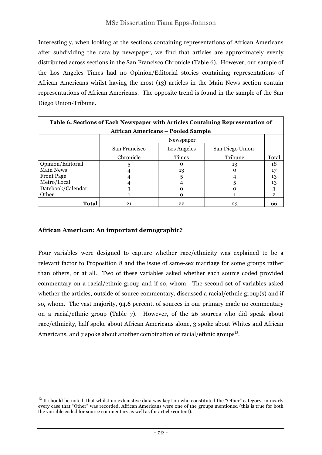Interestingly, when looking at the sections containing representations of African Americans after subdividing the data by newspaper, we find that articles are approximately evenly distributed across sections in the San Francisco Chronicle (Table 6). However, our sample of the Los Angeles Times had no Opinion/Editorial stories containing representations of African Americans whilst having the most (13) articles in the Main News section contain representations of African Americans. The opposite trend is found in the sample of the San Diego Union-Tribune.

| Table 6: Sections of Each Newspaper with Articles Containing Representation of |               |             |                  |              |
|--------------------------------------------------------------------------------|---------------|-------------|------------------|--------------|
| <b>African Americans - Pooled Sample</b>                                       |               |             |                  |              |
|                                                                                |               | Newspaper   |                  |              |
|                                                                                | San Francisco | Los Angeles | San Diego Union- |              |
|                                                                                | Chronicle     | Times       | Tribune          | Total        |
| Opinion/Editorial                                                              | 5             | $\Omega$    | 13               | 18           |
| Main News                                                                      |               | 13          |                  | 17           |
| <b>Front Page</b>                                                              |               | 5           |                  | 13           |
| Metro/Local                                                                    |               |             |                  | 13           |
| Datebook/Calendar                                                              |               | o           |                  | 3            |
| Other                                                                          |               | Ω           |                  | $\mathbf{2}$ |
| Total                                                                          | 21            | 22          | 23               | 66           |

### **African American: An important demographic?**

 $\overline{a}$ 

Four variables were designed to capture whether race/ethnicity was explained to be a relevant factor to Proposition 8 and the issue of same-sex marriage for some groups rather than others, or at all. Two of these variables asked whether each source coded provided commentary on a racial/ethnic group and if so, whom. The second set of variables asked whether the articles, outside of source commentary, discussed a racial/ethnic group(s) and if so, whom. The vast majority, 94.6 percent, of sources in our primary made no commentary on a racial/ethnic group (Table 7). However, of the 26 sources who did speak about race/ethnicity, half spoke about African Americans alone, 3 spoke about Whites and African Americans, and  $7$  spoke about another combination of racial/ethnic groups<sup>13</sup>.

<sup>&</sup>lt;sup>13</sup> It should be noted, that whilst no exhaustive data was kept on who constituted the "Other" category, in nearly every case that "Other" was recorded, African Americans were one of the groups mentioned (this is true for both the variable coded for source commentary as well as for article content).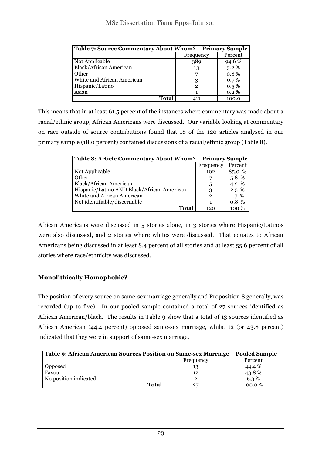| Table 7: Source Commentary About Whom? – Primary Sample |                      |         |  |  |
|---------------------------------------------------------|----------------------|---------|--|--|
|                                                         | Percent<br>Frequency |         |  |  |
| Not Applicable                                          | 389                  | 94.6 %  |  |  |
| <b>Black/African American</b>                           | 13                   | $3.2\%$ |  |  |
| Other                                                   | $\overline{ }$       | 0.8%    |  |  |
| White and African American                              | 3                    | 0.7%    |  |  |
| Hispanic/Latino                                         | $\mathbf{2}$         | $0.5\%$ |  |  |
| Asian                                                   | 1                    | 0.2%    |  |  |
| Total                                                   |                      | 100.0   |  |  |

This means that in at least 61.5 percent of the instances where commentary was made about a racial/ethnic group, African Americans were discussed. Our variable looking at commentary on race outside of source contributions found that 18 of the 120 articles analysed in our primary sample (18.0 percent) contained discussions of a racial/ethnic group (Table 8).

| Table 8: Article Commentary About Whom? - Primary Sample |              |         |  |
|----------------------------------------------------------|--------------|---------|--|
|                                                          | Frequency    | Percent |  |
| Not Applicable                                           | 102          | 85.0 %  |  |
| Other                                                    |              | 5.8 %   |  |
| Black/African American                                   | 5            | 4.2 %   |  |
| Hispanic/Latino AND Black/African American               | 3            | $2.5\%$ |  |
| White and African American                               | $\mathbf{2}$ | 1.7%    |  |
| Not identifiable/discernable                             | 1            | 0.8%    |  |
| Total                                                    | 120          | 100 %   |  |

African Americans were discussed in 5 stories alone, in 3 stories where Hispanic/Latinos were also discussed, and 2 stories where whites were discussed. That equates to African Americans being discussed in at least 8.4 percent of all stories and at least 55.6 percent of all stories where race/ethnicity was discussed.

### **Monolithically Homophobic?**

The position of every source on same-sex marriage generally and Proposition 8 generally, was recorded (up to five). In our pooled sample contained a total of 27 sources identified as African American/black. The results in Table 9 show that a total of 13 sources identified as African American (44.4 percent) opposed same-sex marriage, whilst 12 (or 43.8 percent) indicated that they were in support of same-sex marriage.

| Table 9: African American Sources Position on Same-sex Marriage – Pooled Sample |                      |                  |  |  |  |
|---------------------------------------------------------------------------------|----------------------|------------------|--|--|--|
|                                                                                 | Percent<br>Frequency |                  |  |  |  |
| Opposed                                                                         | 13                   | 44.4 %           |  |  |  |
| Favour                                                                          | 12                   | $43.8%$<br>6.3 % |  |  |  |
| No position indicated                                                           | 2                    |                  |  |  |  |
| Total                                                                           | 27                   | 100.0 %          |  |  |  |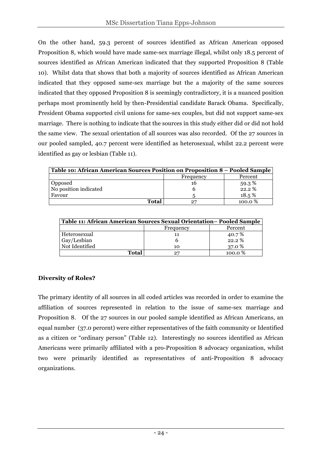On the other hand, 59.3 percent of sources identified as African American opposed Proposition 8, which would have made same-sex marriage illegal, whilst only 18.5 percent of sources identified as African American indicated that they supported Proposition 8 (Table 10). Whilst data that shows that both a majority of sources identified as African American indicated that they opposed same-sex marriage but the a majority of the same sources indicated that they opposed Proposition 8 is seemingly contradictory, it is a nuanced position perhaps most prominently held by then-Presidential candidate Barack Obama. Specifically, President Obama supported civil unions for same-sex couples, but did not support same-sex marriage. There is nothing to indicate that the sources in this study either did or did not hold the same view. The sexual orientation of all sources was also recorded. Of the 27 sources in our pooled sampled, 40.7 percent were identified as heterosexual, whilst 22.2 percent were identified as gay or lesbian (Table 11).

| Table 10: African American Sources Position on Proposition 8 – Pooled Sample |           |         |  |
|------------------------------------------------------------------------------|-----------|---------|--|
|                                                                              | Frequency | Percent |  |
| Opposed                                                                      | 16        | 59.3%   |  |
| No position indicated                                                        |           | 22.2%   |  |
| Favour                                                                       |           | 18.5%   |  |
| Total                                                                        | 27        | 100.0%  |  |

| Table 11: African American Sources Sexual Orientation– Pooled Sample |    |         |  |  |
|----------------------------------------------------------------------|----|---------|--|--|
| Percent<br>Frequency                                                 |    |         |  |  |
| Heterosexual                                                         |    | 40.7%   |  |  |
| Gay/Lesbian                                                          |    | 22.2%   |  |  |
| Not Identified                                                       | 10 | 37.0 %  |  |  |
| Total                                                                |    | 100.0 % |  |  |

# **Diversity of Roles?**

The primary identity of all sources in all coded articles was recorded in order to examine the affiliation of sources represented in relation to the issue of same-sex marriage and Proposition 8. Of the 27 sources in our pooled sample identified as African Americans, an equal number (37.0 percent) were either representatives of the faith community or Identified as a citizen or "ordinary person" (Table 12). Interestingly no sources identified as African Americans were primarily affiliated with a pro-Proposition 8 advocacy organization, whilst two were primarily identified as representatives of anti-Proposition 8 advocacy organizations.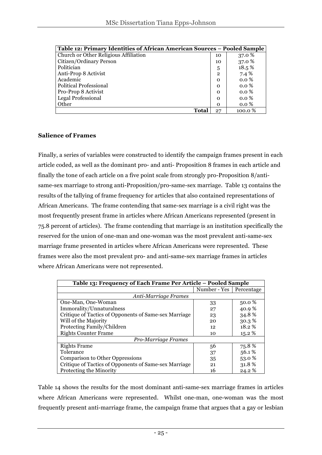| Table 12: Primary Identities of African American Sources - Pooled Sample |              |         |  |
|--------------------------------------------------------------------------|--------------|---------|--|
| Church or Other Religious Affiliation                                    | 10           | 37.0 %  |  |
| Citizen/Ordinary Person                                                  | 10           | 37.0 %  |  |
| Politician                                                               | 5            | 18.5%   |  |
| Anti-Prop 8 Activist                                                     | $\mathbf{2}$ | 7.4 %   |  |
| Academic                                                                 | $\Omega$     | 0.0%    |  |
| <b>Political Professional</b>                                            | $\Omega$     | $0.0\%$ |  |
| Pro-Prop 8 Activist                                                      | $\Omega$     | $0.0\%$ |  |
| <b>Legal Professional</b>                                                | $\Omega$     | $0.0\%$ |  |
| Other                                                                    | $\Omega$     | $0.0\%$ |  |
| Total                                                                    | 27           | 100.0 % |  |

#### **Salience of Frames**

Finally, a series of variables were constructed to identify the campaign frames present in each article coded, as well as the dominant pro- and anti- Proposition 8 frames in each article and finally the tone of each article on a five point scale from strongly pro-Proposition 8/antisame-sex marriage to strong anti-Proposition/pro-same-sex marriage. Table 13 contains the results of the tallying of frame frequency for articles that also contained representations of African Americans. The frame contending that same-sex marriage is a civil right was the most frequently present frame in articles where African Americans represented (present in 75.8 percent of articles). The frame contending that marriage is an institution specifically the reserved for the union of one-man and one-woman was the most prevalent anti-same-sex marriage frame presented in articles where African Americans were represented. These frames were also the most prevalent pro- and anti-same-sex marriage frames in articles where African Americans were not represented.

| Table 13: Frequency of Each Frame Per Article - Pooled Sample |                           |        |  |  |
|---------------------------------------------------------------|---------------------------|--------|--|--|
|                                                               | Number - Yes   Percentage |        |  |  |
| Anti-Marriage Frames                                          |                           |        |  |  |
| One-Man, One-Woman                                            | 33                        | 50.0 % |  |  |
| Immorality/Unnaturalness                                      | 27                        | 40.9%  |  |  |
| Critique of Tactics of Opponents of Same-sex Marriage         | 23                        | 34.8%  |  |  |
| Will of the Majority                                          | 20                        | 30.3%  |  |  |
| Protecting Family/Children                                    | 12                        | 18.2%  |  |  |
| <b>Rights Counter Frame</b>                                   | 10                        | 15.2 % |  |  |
| Pro-Marriage Frames                                           |                           |        |  |  |
| <b>Rights Frame</b>                                           | 56                        | 75.8%  |  |  |
| Tolerance                                                     | 37                        | 56.1%  |  |  |
| <b>Comparison to Other Oppressions</b>                        | 35                        | 53.0%  |  |  |
| Critique of Tactics of Opponents of Same-sex Marriage         | 21                        | 31.8%  |  |  |
| Protecting the Minority                                       | 16                        | 24.2 % |  |  |

Table 14 shows the results for the most dominant anti-same-sex marriage frames in articles where African Americans were represented. Whilst one-man, one-woman was the most frequently present anti-marriage frame, the campaign frame that argues that a gay or lesbian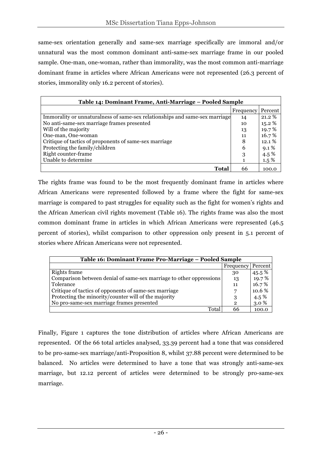same-sex orientation generally and same-sex marriage specifically are immoral and/or unnatural was the most common dominant anti-same-sex marriage frame in our pooled sample. One-man, one-woman, rather than immorality, was the most common anti-marriage dominant frame in articles where African Americans were not represented (26.3 percent of stories, immorality only 16.2 percent of stories).

| Table 14: Dominant Frame, Anti-Marriage – Pooled Sample                     |                  |         |  |  |  |
|-----------------------------------------------------------------------------|------------------|---------|--|--|--|
|                                                                             | <b>Frequency</b> | Percent |  |  |  |
| Immorality or unnaturalness of same-sex relationships and same-sex marriage | 14               | 21.2 %  |  |  |  |
| No anti-same-sex marriage frames presented                                  | 10               | 15.2 %  |  |  |  |
| Will of the majority                                                        | 13               | 19.7%   |  |  |  |
| One-man, One-woman                                                          | 11               | 16.7%   |  |  |  |
| Critique of tactics of proponents of same-sex marriage                      | 8                | 12.1%   |  |  |  |
| Protecting the family/children                                              | 6                | $9.1\%$ |  |  |  |
| Right counter-frame                                                         | 3                | 4.5 $%$ |  |  |  |
| Unable to determine                                                         |                  | $1.5\%$ |  |  |  |
| Total                                                                       | 66               | 100.0   |  |  |  |

The rights frame was found to be the most frequently dominant frame in articles where African Americans were represented followed by a frame where the fight for same-sex marriage is compared to past struggles for equality such as the fight for women's rights and the African American civil rights movement (Table 16). The rights frame was also the most common dominant frame in articles in which African Americans were represented (46.5 percent of stories), whilst comparison to other oppression only present in 5.1 percent of stories where African Americans were not represented.

| Table 16: Dominant Frame Pro-Marriage – Pooled Sample               |              |         |  |  |
|---------------------------------------------------------------------|--------------|---------|--|--|
|                                                                     | Frequency    | Percent |  |  |
| Rights frame                                                        | 30           | 45.5 %  |  |  |
| Comparison between denial of same-sex marriage to other oppressions | 13           | 19.7%   |  |  |
| Tolerance                                                           | 11           | 16.7%   |  |  |
| Critique of tactics of opponents of same-sex marriage               | 7            | 10.6 %  |  |  |
| Protecting the minority/counter will of the majority                | 3            | 4.5 $%$ |  |  |
| No pro-same-sex marriage frames presented                           | $\mathbf{2}$ | 3.0%    |  |  |
| Total                                                               | 66           | 100.0   |  |  |

Finally, Figure 1 captures the tone distribution of articles where African Americans are represented. Of the 66 total articles analysed, 33.39 percent had a tone that was considered to be pro-same-sex marriage/anti-Proposition 8, whilst 37.88 percent were determined to be balanced. No articles were determined to have a tone that was strongly anti-same-sex marriage, but 12.12 percent of articles were determined to be strongly pro-same-sex marriage.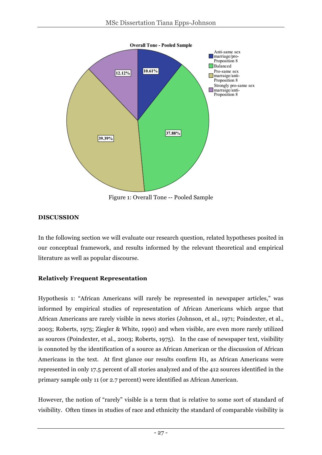

#### **DISCUSSION**

In the following section we will evaluate our research question, related hypotheses posited in our conceptual framework, and results informed by the relevant theoretical and empirical literature as well as popular discourse.

### **Relatively Frequent Representation**

Hypothesis 1: "African Americans will rarely be represented in newspaper articles," was informed by empirical studies of representation of African Americans which argue that African Americans are rarely visible in news stories (Johnson, et al., 1971; Poindexter, et al., 2003; Roberts, 1975; Ziegler & White, 1990) and when visible, are even more rarely utilized as sources (Poindexter, et al., 2003; Roberts, 1975). In the case of newspaper text, visibility is connoted by the identification of a source as African American or the discussion of African Americans in the text. At first glance our results confirm H1, as African Americans were represented in only 17.5 percent of all stories analyzed and of the 412 sources identified in the primary sample only 11 (or 2.7 percent) were identified as African American.

However, the notion of "rarely" visible is a term that is relative to some sort of standard of visibility. Often times in studies of race and ethnicity the standard of comparable visibility is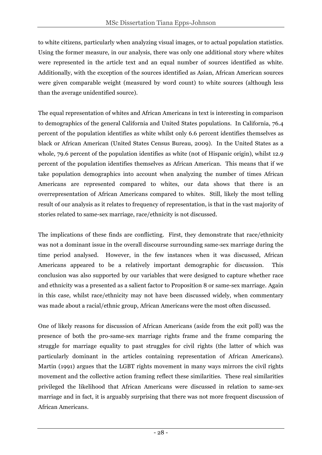to white citizens, particularly when analyzing visual images, or to actual population statistics. Using the former measure, in our analysis, there was only one additional story where whites were represented in the article text and an equal number of sources identified as white. Additionally, with the exception of the sources identified as Asian, African American sources were given comparable weight (measured by word count) to white sources (although less than the average unidentified source).

The equal representation of whites and African Americans in text is interesting in comparison to demographics of the general California and United States populations. In California, 76.4 percent of the population identifies as white whilst only 6.6 percent identifies themselves as black or African American (United States Census Bureau, 2009). In the United States as a whole, 79.6 percent of the population identifies as white (not of Hispanic origin), whilst 12.9 percent of the population identifies themselves as African American. This means that if we take population demographics into account when analyzing the number of times African Americans are represented compared to whites, our data shows that there is an overrepresentation of African Americans compared to whites. Still, likely the most telling result of our analysis as it relates to frequency of representation, is that in the vast majority of stories related to same-sex marriage, race/ethnicity is not discussed.

The implications of these finds are conflicting. First, they demonstrate that race/ethnicity was not a dominant issue in the overall discourse surrounding same-sex marriage during the time period analysed. However, in the few instances when it was discussed, African Americans appeared to be a relatively important demographic for discussion. This conclusion was also supported by our variables that were designed to capture whether race and ethnicity was a presented as a salient factor to Proposition 8 or same-sex marriage. Again in this case, whilst race/ethnicity may not have been discussed widely, when commentary was made about a racial/ethnic group, African Americans were the most often discussed.

One of likely reasons for discussion of African Americans (aside from the exit poll) was the presence of both the pro-same-sex marriage rights frame and the frame comparing the struggle for marriage equality to past struggles for civil rights (the latter of which was particularly dominant in the articles containing representation of African Americans). Martin (1991) argues that the LGBT rights movement in many ways mirrors the civil rights movement and the collective action framing reflect these similarities. These real similarities privileged the likelihood that African Americans were discussed in relation to same-sex marriage and in fact, it is arguably surprising that there was not more frequent discussion of African Americans.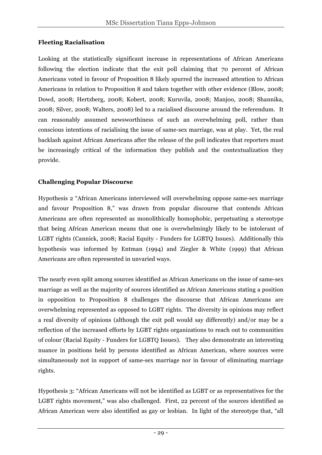### **Fleeting Racialisation**

Looking at the statistically significant increase in representations of African Americans following the election indicate that the exit poll claiming that 70 percent of African Americans voted in favour of Proposition 8 likely spurred the increased attention to African Americans in relation to Proposition 8 and taken together with other evidence (Blow, 2008; Dowd, 2008; Hertzberg, 2008; Kobert, 2008; Kuruvila, 2008; Manjoo, 2008; Shannika, 2008; Silver, 2008; Walters, 2008) led to a racialised discourse around the referendum. It can reasonably assumed newsworthiness of such an overwhelming poll, rather than conscious intentions of racialising the issue of same-sex marriage, was at play. Yet, the real backlash against African Americans after the release of the poll indicates that reporters must be increasingly critical of the information they publish and the contextualization they provide.

### **Challenging Popular Discourse**

Hypothesis 2 "African Americans interviewed will overwhelming oppose same-sex marriage and favour Proposition 8," was drawn from popular discourse that contends African Americans are often represented as monolithically homophobic, perpetuating a stereotype that being African American means that one is overwhelmingly likely to be intolerant of LGBT rights (Cannick, 2008; Racial Equity - Funders for LGBTQ Issues). Additionally this hypothesis was informed by Entman (1994) and Ziegler & White (1999) that African Americans are often represented in unvaried ways.

The nearly even split among sources identified as African Americans on the issue of same-sex marriage as well as the majority of sources identified as African Americans stating a position in opposition to Proposition 8 challenges the discourse that African Americans are overwhelming represented as opposed to LGBT rights. The diversity in opinions may reflect a real diversity of opinions (although the exit poll would say differently) and/or may be a reflection of the increased efforts by LGBT rights organizations to reach out to communities of colour (Racial Equity - Funders for LGBTQ Issues). They also demonstrate an interesting nuance in positions held by persons identified as African American, where sources were simultaneously not in support of same-sex marriage nor in favour of eliminating marriage rights.

Hypothesis 3: "African Americans will not be identified as LGBT or as representatives for the LGBT rights movement," was also challenged. First, 22 percent of the sources identified as African American were also identified as gay or lesbian. In light of the stereotype that, "all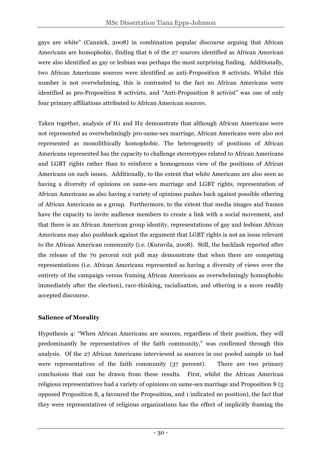gays are white" (Cannick, 2008) in combination popular discourse arguing that African Americans are homophobic, finding that 6 of the 27 sources identified as African American were also identified as gay or lesbian was perhaps the most surprising finding. Additionally, two African Americans sources were identified as anti-Proposition 8 activists. Whilst this number is not overwhelming, this is contrasted to the fact no African Americans were identified as pro-Proposition 8 activists, and "Anti-Proposition 8 activist" was one of only four primary affiliations attributed to African American sources.

Taken together, analysis of H1 and H2 demonstrate that although African Americans were not represented as overwhelmingly pro-same-sex marriage, African Americans were also not represented as monolithically homophobic. The heterogeneity of positions of African Americans represented has the capacity to challenge stereotypes related to African Americans and LGBT rights rather than to reinforce a homogenous view of the positions of African Americans on such issues. Additionally, to the extent that white Americans are also seen as having a diversity of opinions on same-sex marriage and LGBT rights, representation of African Americans as also having a variety of opinions pushes back against possible othering of African Americans as a group. Furthermore, to the extent that media images and frames have the capacity to invite audience members to create a link with a social movement, and that there is an African American group identity, representations of gay and lesbian African Americans may also pushback against the argument that LGBT rights is not an issue relevant to the African American community (i.e. (Kuruvila, 2008). Still, the backlash reported after the release of the 70 percent exit poll may demonstrate that when there are competing representations (i.e. African Americans represented as having a diversity of views over the entirety of the campaign versus framing African Americans as overwhelmingly homophobic immediately after the election), race-thinking, racialisation, and othering is a more readily accepted discourse.

### **Salience of Morality**

Hypothesis 4: "When African Americans are sources, regardless of their position, they will predominantly be representatives of the faith community," was confirmed through this analysis. Of the 27 African Americans interviewed as sources in our pooled sample 10 had were representatives of the faith community (37 percent). There are two primary conclusions that can be drawn from these results. First, whilst the African American religious representatives had a variety of opinions on same-sex marriage and Proposition 8 (5 opposed Proposition 8, 4 favoured the Proposition, and 1 indicated no position), the fact that they were representatives of religious organizations has the effect of implicitly framing the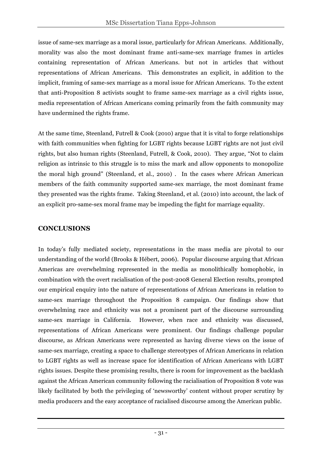issue of same-sex marriage as a moral issue, particularly for African Americans. Additionally, morality was also the most dominant frame anti-same-sex marriage frames in articles containing representation of African Americans. but not in articles that without representations of African Americans. This demonstrates an explicit, in addition to the implicit, framing of same-sex marriage as a moral issue for African Americans. To the extent that anti-Proposition 8 activists sought to frame same-sex marriage as a civil rights issue, media representation of African Americans coming primarily from the faith community may have undermined the rights frame.

At the same time, Steenland, Futrell & Cook (2010) argue that it is vital to forge relationships with faith communities when fighting for LGBT rights because LGBT rights are not just civil rights, but also human rights (Steenland, Futrell, & Cook, 2010). They argue, "Not to claim religion as intrinsic to this struggle is to miss the mark and allow opponents to monopolize the moral high ground" (Steenland, et al., 2010) . In the cases where African American members of the faith community supported same-sex marriage, the most dominant frame they presented was the rights frame. Taking Steenland, et al. (2010) into account, the lack of an explicit pro-same-sex moral frame may be impeding the fight for marriage equality.

# **CONCLUSIONS**

In today's fully mediated society, representations in the mass media are pivotal to our understanding of the world (Brooks & Hébert, 2006). Popular discourse arguing that African Americas are overwhelming represented in the media as monolithically homophobic, in combination with the overt racialisation of the post-2008 General Election results, prompted our empirical enquiry into the nature of representations of African Americans in relation to same-sex marriage throughout the Proposition 8 campaign. Our findings show that overwhelming race and ethnicity was not a prominent part of the discourse surrounding same-sex marriage in California. However, when race and ethnicity was discussed, representations of African Americans were prominent. Our findings challenge popular discourse, as African Americans were represented as having diverse views on the issue of same-sex marriage, creating a space to challenge stereotypes of African Americans in relation to LGBT rights as well as increase space for identification of African Americans with LGBT rights issues. Despite these promising results, there is room for improvement as the backlash against the African American community following the racialisation of Proposition 8 vote was likely facilitated by both the privileging of 'newsworthy' content without proper scrutiny by media producers and the easy acceptance of racialised discourse among the American public.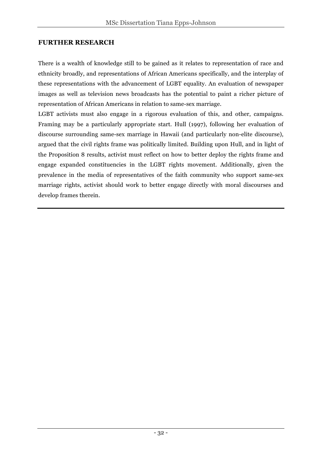## **FURTHER RESEARCH**

There is a wealth of knowledge still to be gained as it relates to representation of race and ethnicity broadly, and representations of African Americans specifically, and the interplay of these representations with the advancement of LGBT equality. An evaluation of newspaper images as well as television news broadcasts has the potential to paint a richer picture of representation of African Americans in relation to same-sex marriage.

LGBT activists must also engage in a rigorous evaluation of this, and other, campaigns. Framing may be a particularly appropriate start. Hull (1997), following her evaluation of discourse surrounding same-sex marriage in Hawaii (and particularly non-elite discourse), argued that the civil rights frame was politically limited. Building upon Hull, and in light of the Proposition 8 results, activist must reflect on how to better deploy the rights frame and engage expanded constituencies in the LGBT rights movement. Additionally, given the prevalence in the media of representatives of the faith community who support same-sex marriage rights, activist should work to better engage directly with moral discourses and develop frames therein.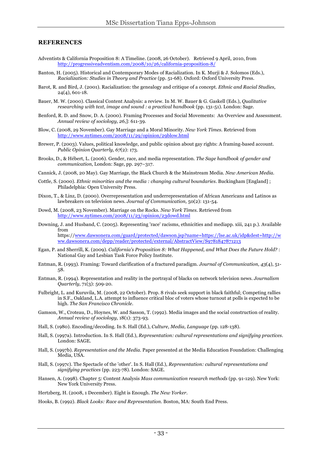#### **REFERENCES**

- Adventists & California Proposition 8: A Timeline. (2008, 26 October). Retrieved 9 April, 2010, from http://progressiveadventism.com/2008/10/26/california-proposition-8/
- Banton, H. (2005). Historical and Contemporary Modes of Racialization. In K. Murji & J. Solomos (Eds.), *Racialization: Studies in Theory and Practice* (pp. 51-68). Oxford: Oxford University Press.
- Barot, R. and Bird, J. (2001). Racialization: the genealogy and critique of a concept. *Ethnic and Racial Studies,*  24(4), 601-18.
- Bauer, M. W. (2000). Classical Content Analysis: a review. In M. W. Bauer & G. Gaskell (Eds.), *Qualitative researching with text, image and sound : a practical handbook* (pp. 131-51). London: Sage.
- Benford, R. D. and Snow, D. A. (2000). Framing Processes and Social Movements: An Overview and Assessment. *Annual review of sociology, 26*,]: 611-39.
- Blow, C. (2008, 29 November). Gay Marriage and a Moral Minority*. New York Times*. Retrieved from http://www.nytimes.com/2008/11/29/opinion/29blow.html
- Brewer, P. (2003). Values, political knowledge, and public opinion about gay rights: A framing-based account. *Public Opinion Quarterly, 67*(2): 173.
- Brooks, D., & Hébert, L. (2006). Gender, race, and media representation. *The Sage handbook of gender and communication*, London: Sage, pp. 297–317.
- Cannick, J. (2008, 20 May). Gay Marriage, the Black Church & the Mainstream Media*. New American Media*.
- Cottle, S. (2000). *Ethnic minorities and the media : changing cultural boundaries*. Buckingham [England] ; Philadelphia: Open University Press.
- Dixon, T., & Linz, D. (2000). Overrepresentation and underrepresentation of African Americans and Latinos as lawbreakers on television news. *Journal of Communication,* 50(2): 131-54.
- Dowd, M. (2008, 23 November). Marriage on the Rocks*. New York Times*. Retrieved from http://www.nytimes.com/2008/11/23/opinion/23dowd.html
- Downing, J. and Husband, C. (2005). Representing 'race' racisms, ethnicities and mediapp. xiii, 241 p.). Available from https://www.dawsonera.com/guard/protected/dawson.jsp?name=https://lse.ac.uk/idp&dest=http://w ww.dawsonera.com/depp/reader/protected/external/AbstractView/S9781847871213
- Egan, P. and Sherrill, K. (2009). *California's Proposition 8: What Happened, and What Does the Future Hold?* : National Gay and Lesbian Task Force Policy Institute.
- Entman, R. (1993). Framing: Toward clarification of a fractured paradigm. *Journal of Communication, 43*(4), 51- 58.
- Entman, R. (1994). Representation and reality in the portrayal of blacks on network television news. *Journalism Quarterly,* 71(3): 509-20.
- Fulbright, L. and Kuruvila, M. (2008, 22 October). Prop. 8 rivals seek support in black faithful; Competing rallies in S.F., Oakland, L.A. attempt to influence critical bloc of voters whose turnout at polls is expected to be high*. The San Francisco Chronicle*.
- Gamson, W., Croteau, D., Hoynes, W. and Sasson, T. (1992). Media images and the social construction of reality. *Annual review of sociology,* 18(1): 373-93.
- Hall, S. (1980). Encoding/decoding. In S. Hall (Ed.), *Culture, Media, Language* (pp. 128-138).
- Hall, S. (1997a). Introduction. In S. Hall (Ed.), *Representation: cultural representations and signifying practices*. London: SAGE.
- Hall, S. (1997b). *Representation and the Media.* Paper presented at the Media Education Foundation: Challenging Media, USA.
- Hall, S. (1997c). The Spectacle of the 'other'. In S. Hall (Ed.), *Representation: cultural representations and signifying practices* (pp. 223-78). London: SAGE.
- Hansen, A. (1998). Chapter 5: Content Analysis *Mass communication research methods* (pp. 91-129). New York: New York University Press.

Hertzberg, H. (2008, 1 December). Eight is Enough. *The New Yorker*.

Hooks, B. (1992). *Black Looks: Race and Representation*. Boston, MA: South End Press.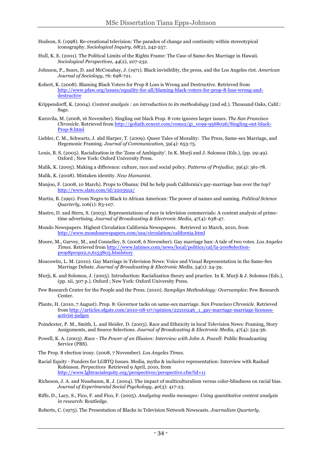- Hudson, S. (1998). Re-creational television: The paradox of change and continuity within stereotypical iconography. *Sociological Inquiry, 68*(2), 242-257.
- Hull, K. E. (2001). The Political Limits of the Rights Frame: The Case of Same-Sex Marriage in Hawaii. *Sociological Perspectives, 44*(2), 207-232.
- Johnson, P., Sears, D. and McConahay, J. (1971). Black invisibility, the press, and the Los Angeles riot. *American Journal of Sociology,* 76: 698-721.
- Kobert, K. (2008). Blaming Black Voters for Prop 8 Loss is Wrong and Destructive. Retrieved from http://www.pfaw.org/issues/equality-for-all/blaming-black-voters-for-prop-8-loss-wrong-anddestructive
- Krippendorff, K. (2004). *Content analysis : an introduction to its methodology* (2nd ed.). Thousand Oaks, Calif.: Sage.
- Kuruvila, M. (2008, 16 November). Singling out black Prop. 8 vote ignores larger issues*. The San Francisco Chronicle*. Retrieved from http://goliath.ecnext.com/coms2/gi\_0199-9568026/Singling-out-black-Prop-8.html
- Liebler, C. M., Schwartz, J. abd Harper, T. (2009). Queer Tales of Morality: The Press, Same-sex Marriage, and Hegemonic Framing. *Journal of Communication,* 59(4): 653-75.
- Louis, B. S. (2005). Racialization in the 'Zone of Ambiguity'. In K. Murji and J. Solomos (Eds.), (pp. 29-49). Oxford ; New York: Oxford University Press.
- Malik, K. (2005). Making a difference: culture, race and social policy. *Patterns of Prejudice,* 39(4): 361-78.
- Malik, K. (2008). Mistaken identity. *New Humanist*.
- Manjoo, F. (2008, 10 March). Props to Obama: Did he help push California's gay-marriage ban over the top? http://www.slate.com/id/2203912/
- Martin, B. (1991). From Negro to Black to African American: The power of names and naming. *Political Science Quarterly,* 106(1): 83-107.
- Mastro, D. and Stern, S. (2003). Representations of race in television commercials: A content analysis of primetime advertising. *Journal of Broadcasting & Electronic Media,* 47(4): 638-47.
- Mondo Newspapers. Highest Circulation California Newspapers. Retrieved 10 March, 2010, from http://www.mondonewspapers.com/usa/circulation/california.html
- Moore, M., Garvey, M., and Connelley, S. (2008, 6 November). Gay marriage ban: A tale of two votes*. Los Angeles Times*. Retrieved from http://www.latimes.com/news/local/politics/cal/la-2008electionprop8prop22,0,6153805.htmlstory
- Moscowitz, L. M. (2010). Gay Marriage in Television News: Voice and Visual Representation in the Same-Sex Marriage Debate. *Journal of Broadcasting & Electronic Media,* 54(1): 24-39.
- Murji, K. and Solomos, J. (2005). Introduction: Racialization theory and practice. In K. Murji & J. Solomos (Eds.), (pp. xii, 307 p.). Oxford ; New York: Oxford University Press.
- Pew Research Center for the People and the Press. (2010). *Samplign Methodology: Oversamples*: Pew Research Center.
- Plante, H. (2010, 7 August). Prop. 8: Governor tacks on same-sex marriage*. San Francisco Chronicle*. Retrieved from http://articles.sfgate.com/2010-08-07/opinion/22210246\_1\_gay-marriage-marriage-licensesactivist-judges
- Poindexter, P. M., Smith, L. and Heider, D. (2003). Race and Ethnicity in local Television News: Framing, Story Assignments, and Source Selections. *Journal of Broadcasting & Electronic Media,* 47(4): 524-36.
- Powell, K. A. (2003). *Race - The Power of an Illusion: Interview with John A. Powell*: Public Broadcasting Service (PBS).
- The Prop. 8 election irony. (2008, 7 November). *Los Angeles Times*.
- Racial Equity Funders for LGBTQ Issues. Media, myths & inclusive representation: Interview with Rashad Robinson. *Perpectives* Retrieved 9 April, 2010, from http://www.lgbtracialequity.org/perspectives/perspective.cfm?id=11
- Richeson, J. A. and Nussbaum, R. J. (2004). The impact of multiculturalism versus color-blindness on racial bias. *Journal of Experimental Social Psychology, 40*(3): 417-23.
- Riffe, D., Lacy, S., Fico, F. and Fico, F. (2005). *Analyzing media messages: Using quantitative content analysis in research*: Routledge.
- Roberts, C. (1975). The Presentation of Blacks in Television Network Newscasts. *Journalism Quarterly*.